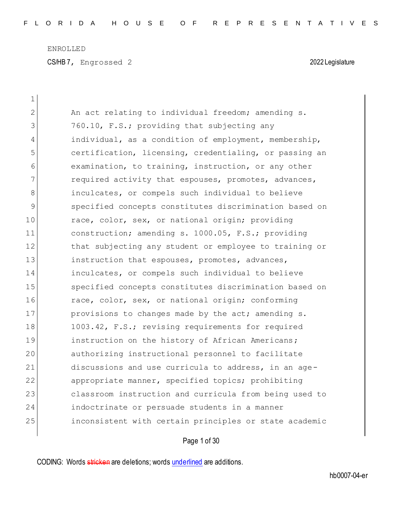CS/HB 7, Engrossed 2 2022 Legislature

| $\mathbf 1$    |                                                        |
|----------------|--------------------------------------------------------|
| $\overline{2}$ | An act relating to individual freedom; amending s.     |
| 3              | 760.10, F.S.; providing that subjecting any            |
| 4              | individual, as a condition of employment, membership,  |
| 5              | certification, licensing, credentialing, or passing an |
| 6              | examination, to training, instruction, or any other    |
| 7              | required activity that espouses, promotes, advances,   |
| 8              | inculcates, or compels such individual to believe      |
| 9              | specified concepts constitutes discrimination based on |
| 10             | race, color, sex, or national origin; providing        |
| 11             | construction; amending s. 1000.05, F.S.; providing     |
| 12             | that subjecting any student or employee to training or |
| 13             | instruction that espouses, promotes, advances,         |
| 14             | inculcates, or compels such individual to believe      |
| 15             | specified concepts constitutes discrimination based on |
| 16             | race, color, sex, or national origin; conforming       |
| 17             | provisions to changes made by the act; amending s.     |
| 18             | 1003.42, F.S.; revising requirements for required      |
| 19             | instruction on the history of African Americans;       |
| 20             | authorizing instructional personnel to facilitate      |
| 21             | discussions and use curricula to address, in an age-   |
| 22             | appropriate manner, specified topics; prohibiting      |
| 23             | classroom instruction and curricula from being used to |
| 24             | indoctrinate or persuade students in a manner          |
| 25             | inconsistent with certain principles or state academic |
|                |                                                        |

Page 1 of 30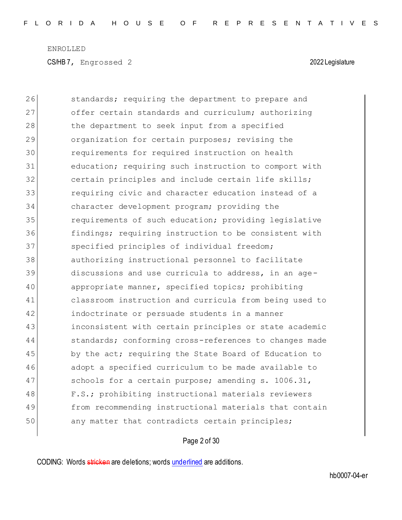$\overline{\phantom{a}}$ 

CS/HB 7, Engrossed 2 2022 Legislature

| 26 | standards; requiring the department to prepare and     |
|----|--------------------------------------------------------|
| 27 | offer certain standards and curriculum; authorizing    |
| 28 | the department to seek input from a specified          |
| 29 | organization for certain purposes; revising the        |
| 30 | requirements for required instruction on health        |
| 31 | education; requiring such instruction to comport with  |
| 32 | certain principles and include certain life skills;    |
| 33 | requiring civic and character education instead of a   |
| 34 | character development program; providing the           |
| 35 | requirements of such education; providing legislative  |
| 36 | findings; requiring instruction to be consistent with  |
| 37 | specified principles of individual freedom;            |
| 38 | authorizing instructional personnel to facilitate      |
| 39 | discussions and use curricula to address, in an age-   |
| 40 | appropriate manner, specified topics; prohibiting      |
| 41 | classroom instruction and curricula from being used to |
| 42 | indoctrinate or persuade students in a manner          |
| 43 | inconsistent with certain principles or state academic |
| 44 | standards; conforming cross-references to changes made |
| 45 | by the act; requiring the State Board of Education to  |
| 46 | adopt a specified curriculum to be made available to   |
| 47 | schools for a certain purpose; amending s. 1006.31,    |
| 48 | F.S.; prohibiting instructional materials reviewers    |
| 49 | from recommending instructional materials that contain |
| 50 | any matter that contradicts certain principles;        |

Page 2 of 30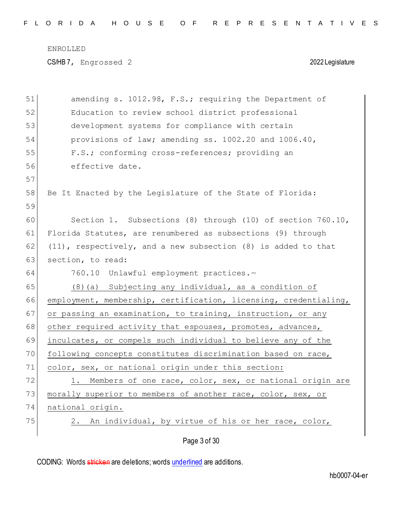CS/HB 7, Engrossed 2 2022 Legislature

| 51 | amending s. 1012.98, F.S.; requiring the Department of             |
|----|--------------------------------------------------------------------|
| 52 | Education to review school district professional                   |
| 53 | development systems for compliance with certain                    |
| 54 | provisions of law; amending ss. 1002.20 and 1006.40,               |
| 55 | F.S.; conforming cross-references; providing an                    |
| 56 | effective date.                                                    |
| 57 |                                                                    |
| 58 | Be It Enacted by the Legislature of the State of Florida:          |
| 59 |                                                                    |
| 60 | Section 1. Subsections (8) through (10) of section 760.10,         |
| 61 | Florida Statutes, are renumbered as subsections (9) through        |
| 62 | $(11)$ , respectively, and a new subsection $(8)$ is added to that |
| 63 | section, to read:                                                  |
| 64 | 760.10 Unlawful employment practices.-                             |
| 65 | $(8)$ (a) Subjecting any individual, as a condition of             |
| 66 | employment, membership, certification, licensing, credentialing,   |
| 67 | or passing an examination, to training, instruction, or any        |
| 68 | other required activity that espouses, promotes, advances,         |
| 69 | inculcates, or compels such individual to believe any of the       |
| 70 | following concepts constitutes discrimination based on race,       |
| 71 | color, sex, or national origin under this section:                 |
| 72 | Members of one race, color, sex, or national origin are<br>1.      |
| 73 | morally superior to members of another race, color, sex, or        |
| 74 | national origin.                                                   |
| 75 | An individual, by virtue of his or her race, color,<br>2.          |
|    | Page 3 of 30                                                       |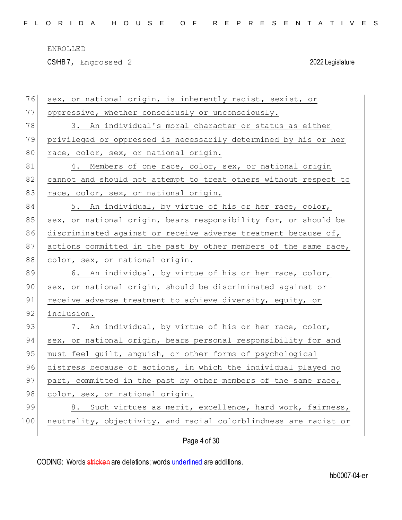CS/HB 7, Engrossed 2 2022 Legislature

| 76  | sex, or national origin, is inherently racist, sexist, or        |
|-----|------------------------------------------------------------------|
| 77  | oppressive, whether consciously or unconsciously.                |
| 78  | 3. An individual's moral character or status as either           |
| 79  | privileged or oppressed is necessarily determined by his or her  |
| 80  | race, color, sex, or national origin.                            |
| 81  | 4. Members of one race, color, sex, or national origin           |
| 82  | cannot and should not attempt to treat others without respect to |
| 83  | race, color, sex, or national origin.                            |
| 84  | 5. An individual, by virtue of his or her race, color,           |
| 85  | sex, or national origin, bears responsibility for, or should be  |
| 86  | discriminated against or receive adverse treatment because of,   |
| 87  | actions committed in the past by other members of the same race, |
| 88  | color, sex, or national origin.                                  |
| 89  | 6. An individual, by virtue of his or her race, color,           |
| 90  | sex, or national origin, should be discriminated against or      |
| 91  | receive adverse treatment to achieve diversity, equity, or       |
| 92  | inclusion.                                                       |
| 93  | 7. An individual, by virtue of his or her race, color,           |
| 94  | sex, or national origin, bears personal responsibility for and   |
| 95  | must feel guilt, anguish, or other forms of psychological        |
| 96  | distress because of actions, in which the individual played no   |
| 97  | part, committed in the past by other members of the same race,   |
| 98  | color, sex, or national origin.                                  |
| 99  | Such virtues as merit, excellence, hard work, fairness,<br>8.    |
| 100 | neutrality, objectivity, and racial colorblindness are racist or |
|     | Page 4 of 30                                                     |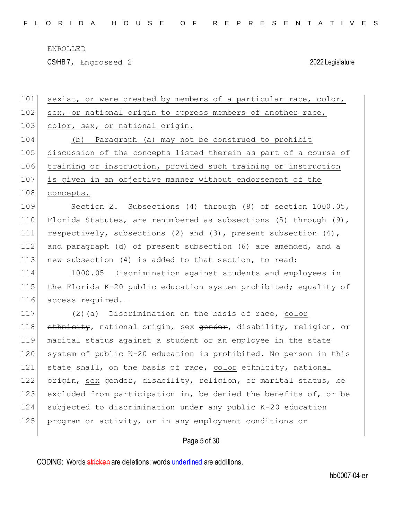CS/HB 7, Engrossed 2 2022 Legislature

| 101 | sexist, or were created by members of a particular race, color,     |
|-----|---------------------------------------------------------------------|
| 102 | sex, or national origin to oppress members of another race,         |
| 103 | color, sex, or national origin.                                     |
| 104 | Paragraph (a) may not be construed to prohibit<br>(b)               |
| 105 | discussion of the concepts listed therein as part of a course of    |
| 106 | training or instruction, provided such training or instruction      |
| 107 | is given in an objective manner without endorsement of the          |
| 108 | concepts.                                                           |
| 109 | Section 2. Subsections (4) through (8) of section 1000.05,          |
| 110 | Florida Statutes, are renumbered as subsections (5) through $(9)$ , |
| 111 | respectively, subsections (2) and (3), present subsection $(4)$ ,   |
| 112 | and paragraph (d) of present subsection (6) are amended, and a      |
| 113 | new subsection (4) is added to that section, to read:               |
| 114 | 1000.05 Discrimination against students and employees in            |
| 115 | the Florida K-20 public education system prohibited; equality of    |
| 116 | access required.-                                                   |
| 117 | (2)(a) Discrimination on the basis of race, color                   |
| 118 | ethnicity, national origin, sex gender, disability, religion, or    |
| 119 | marital status against a student or an employee in the state        |
| 120 | system of public K-20 education is prohibited. No person in this    |
| 121 | state shall, on the basis of race, color ethnicity, national        |
| 122 | origin, sex gender, disability, religion, or marital status, be     |
| 123 | excluded from participation in, be denied the benefits of, or be    |
| 124 | subjected to discrimination under any public K-20 education         |
| 125 | program or activity, or in any employment conditions or             |
|     | Page 5 of 30                                                        |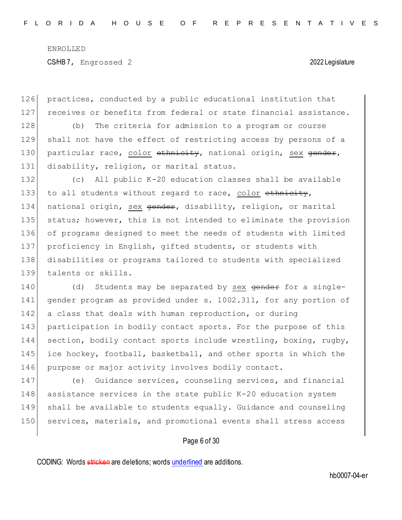126 practices, conducted by a public educational institution that 127 receives or benefits from federal or state financial assistance.

128 (b) The criteria for admission to a program or course 129 shall not have the effect of restricting access by persons of a 130 particular race, color ethnicity, national origin, sex gender, 131 disability, religion, or marital status.

 (c) All public K-20 education classes shall be available 133 to all students without regard to race, color  $\epsilon$ thnicity, 134 national origin, sex gender, disability, religion, or marital status; however, this is not intended to eliminate the provision of programs designed to meet the needs of students with limited 137 proficiency in English, gifted students, or students with disabilities or programs tailored to students with specialized talents or skills.

140 (d) Students may be separated by sex gender for a single-141 gender program as provided under s. 1002.311, for any portion of 142 a class that deals with human reproduction, or during 143 participation in bodily contact sports. For the purpose of this 144 section, bodily contact sports include wrestling, boxing, rugby, 145 ice hockey, football, basketball, and other sports in which the 146 purpose or major activity involves bodily contact.

 (e) Guidance services, counseling services, and financial assistance services in the state public K-20 education system shall be available to students equally. Guidance and counseling 150 services, materials, and promotional events shall stress access

# Page 6 of 30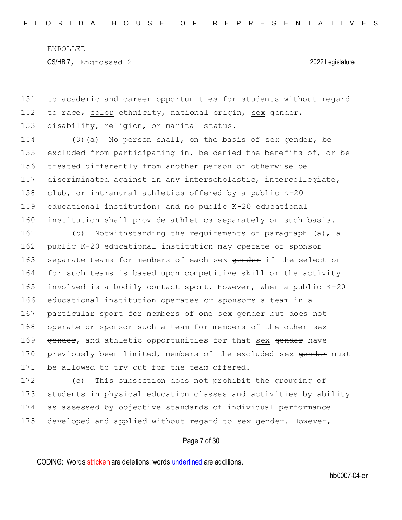151 to academic and career opportunities for students without regard 152 to race, color  $\epsilon$ thnicity, national origin, sex  $\epsilon$ ender, 153 disability, religion, or marital status.

154 (3)(a) No person shall, on the basis of sex  $\theta$  ender, be excluded from participating in, be denied the benefits of, or be treated differently from another person or otherwise be discriminated against in any interscholastic, intercollegiate, 158 club, or intramural athletics offered by a public  $K-20$  educational institution; and no public K-20 educational institution shall provide athletics separately on such basis.

161 (b) Notwithstanding the requirements of paragraph (a), a 162 public K-20 educational institution may operate or sponsor 163 separate teams for members of each sex gender if the selection 164 for such teams is based upon competitive skill or the activity 165 involved is a bodily contact sport. However, when a public  $K-20$ 166 educational institution operates or sponsors a team in a 167 particular sport for members of one sex gender but does not 168 operate or sponsor such a team for members of the other sex 169 gender, and athletic opportunities for that sex gender have 170 previously been limited, members of the excluded sex gender must 171 be allowed to try out for the team offered.

172 (c) This subsection does not prohibit the grouping of 173 students in physical education classes and activities by ability 174 as assessed by objective standards of individual performance 175 developed and applied without regard to sex gender. However,

Page 7 of 30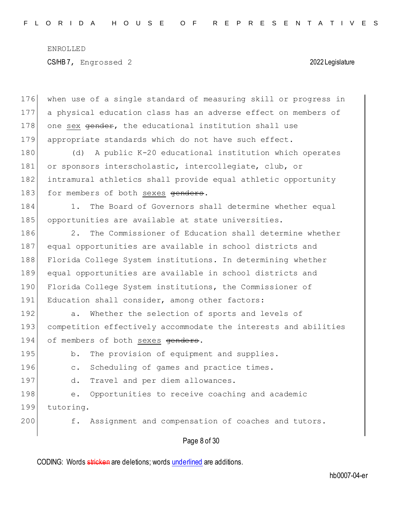Page 8 of 30 176 when use of a single standard of measuring skill or progress in 177 a physical education class has an adverse effect on members of 178 one sex gender, the educational institution shall use 179 appropriate standards which do not have such effect. 180 (d) A public K-20 educational institution which operates 181 or sponsors interscholastic, intercollegiate, club, or 182 intramural athletics shall provide equal athletic opportunity 183 for members of both sexes genders. 184 1. The Board of Governors shall determine whether equal 185 opportunities are available at state universities. 186 2. The Commissioner of Education shall determine whether 187 equal opportunities are available in school districts and 188 Florida College System institutions. In determining whether 189 equal opportunities are available in school districts and 190 Florida College System institutions, the Commissioner of 191 Education shall consider, among other factors: 192 a. Whether the selection of sports and levels of 193 competition effectively accommodate the interests and abilities 194 of members of both sexes genders. 195 b. The provision of equipment and supplies. 196 c. Scheduling of games and practice times. 197 d. Travel and per diem allowances. 198 e. Opportunities to receive coaching and academic 199 tutoring. 200 f. Assignment and compensation of coaches and tutors.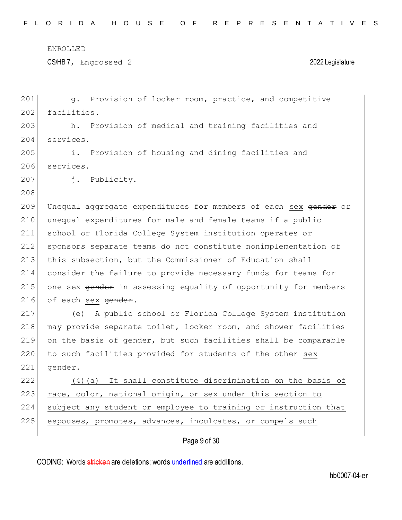CS/HB 7, Engrossed 2 2022 Legislature

| 201 | g. Provision of locker room, practice, and competitive                     |
|-----|----------------------------------------------------------------------------|
| 202 | facilities.                                                                |
| 203 | Provision of medical and training facilities and<br>h.                     |
| 204 | services.                                                                  |
| 205 | i.<br>Provision of housing and dining facilities and                       |
| 206 | services.                                                                  |
| 207 | j. Publicity.                                                              |
| 208 |                                                                            |
| 209 | Unequal aggregate expenditures for members of each sex gender or           |
| 210 | unequal expenditures for male and female teams if a public                 |
| 211 | school or Florida College System institution operates or                   |
| 212 | sponsors separate teams do not constitute nonimplementation of             |
| 213 | this subsection, but the Commissioner of Education shall                   |
| 214 | consider the failure to provide necessary funds for teams for              |
| 215 | one sex <del>gender</del> in assessing equality of opportunity for members |
| 216 | of each sex <del>gender</del> .                                            |
| 217 | A public school or Florida College System institution<br>(e)               |
| 218 | may provide separate toilet, locker room, and shower facilities            |
| 219 | on the basis of gender, but such facilities shall be comparable            |
| 220 | to such facilities provided for students of the other sex                  |
| 221 | gender.                                                                    |
| 222 | It shall constitute discrimination on the basis of<br>(4)(a)               |
| 223 | race, color, national origin, or sex under this section to                 |
| 224 | subject any student or employee to training or instruction that            |
| 225 | espouses, promotes, advances, inculcates, or compels such                  |
|     | Page 9 of 30                                                               |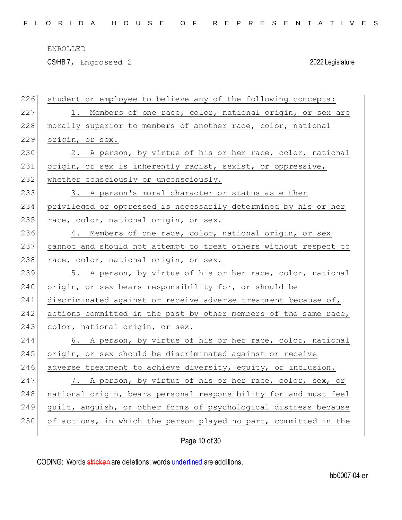CS/HB 7, Engrossed 2 2022 Legislature

| 226 | student or employee to believe any of the following concepts:    |
|-----|------------------------------------------------------------------|
| 227 | 1. Members of one race, color, national origin, or sex are       |
| 228 | morally superior to members of another race, color, national     |
| 229 | origin, or sex.                                                  |
| 230 | 2. A person, by virtue of his or her race, color, national       |
| 231 | origin, or sex is inherently racist, sexist, or oppressive,      |
| 232 | whether consciously or unconsciously.                            |
| 233 | 3. A person's moral character or status as either                |
| 234 | privileged or oppressed is necessarily determined by his or her  |
| 235 | race, color, national origin, or sex.                            |
| 236 | 4. Members of one race, color, national origin, or sex           |
| 237 | cannot and should not attempt to treat others without respect to |
| 238 | race, color, national origin, or sex.                            |
|     |                                                                  |
| 239 | 5. A person, by virtue of his or her race, color, national       |
| 240 | origin, or sex bears responsibility for, or should be            |
| 241 | discriminated against or receive adverse treatment because of,   |
| 242 | actions committed in the past by other members of the same race, |
| 243 | color, national origin, or sex.                                  |
| 244 | 6. A person, by virtue of his or her race, color, national       |
| 245 | origin, or sex should be discriminated against or receive        |
| 246 | adverse treatment to achieve diversity, equity, or inclusion.    |
| 247 | 7. A person, by virtue of his or her race, color, sex, or        |
| 248 | national origin, bears personal responsibility for and must feel |
| 249 | guilt, anguish, or other forms of psychological distress because |
| 250 | of actions, in which the person played no part, committed in the |

Page 10 of 30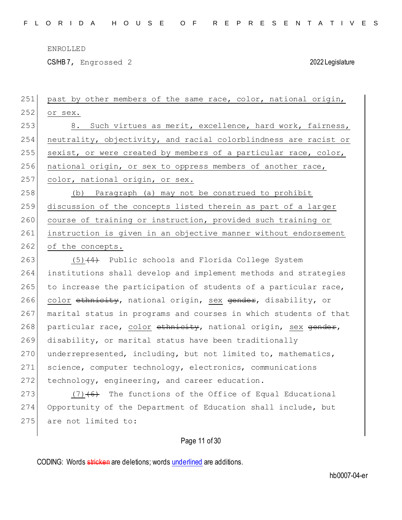CS/HB 7, Engrossed 2 2022 Legislature

| 251 | past by other members of the same race, color, national origin,  |
|-----|------------------------------------------------------------------|
| 252 | or sex.                                                          |
| 253 | 8. Such virtues as merit, excellence, hard work, fairness,       |
| 254 | neutrality, objectivity, and racial colorblindness are racist or |
| 255 | sexist, or were created by members of a particular race, color,  |
| 256 | national origin, or sex to oppress members of another race,      |
| 257 | color, national origin, or sex.                                  |
| 258 | Paragraph (a) may not be construed to prohibit<br>(b)            |
| 259 | discussion of the concepts listed therein as part of a larger    |
| 260 | course of training or instruction, provided such training or     |
| 261 | instruction is given in an objective manner without endorsement  |
| 262 | of the concepts.                                                 |
| 263 | $(5)$ $(4)$ Public schools and Florida College System            |
| 264 | institutions shall develop and implement methods and strategies  |
| 265 | to increase the participation of students of a particular race,  |
| 266 | color ethnicity, national origin, sex gender, disability, or     |
| 267 | marital status in programs and courses in which students of that |
| 268 | particular race, color ethnicity, national origin, sex gender,   |
| 269 | disability, or marital status have been traditionally            |
| 270 | underrepresented, including, but not limited to, mathematics,    |
| 271 | science, computer technology, electronics, communications        |
| 272 | technology, engineering, and career education.                   |
| 273 | $(7)$ +6) The functions of the Office of Equal Educational       |
| 274 | Opportunity of the Department of Education shall include, but    |
| 275 | are not limited to:                                              |
|     |                                                                  |

# Page 11 of 30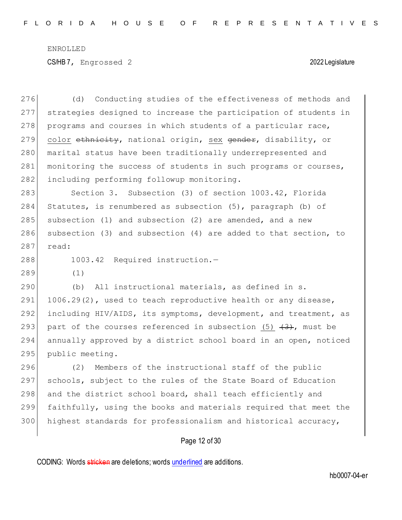276 (d) Conducting studies of the effectiveness of methods and 277 strategies designed to increase the participation of students in 278 programs and courses in which students of a particular race, 279 color ethnicity, national origin, sex gender, disability, or 280 marital status have been traditionally underrepresented and 281 monitoring the success of students in such programs or courses, 282 including performing followup monitoring. 283 Section 3. Subsection (3) of section 1003.42, Florida 284 Statutes, is renumbered as subsection (5), paragraph (b) of 285 subsection (1) and subsection (2) are amended, and a new 286 subsection (3) and subsection (4) are added to that section, to 287 read: 288 1003.42 Required instruction.-289 (1) 290 (b) All instructional materials, as defined in s. 291  $1006.29(2)$ , used to teach reproductive health or any disease, 292 including HIV/AIDS, its symptoms, development, and treatment, as 293 part of the courses referenced in subsection  $(5)$   $(3)$ , must be 294 annually approved by a district school board in an open, noticed 295 public meeting. 296 (2) Members of the instructional staff of the public 297 schools, subject to the rules of the State Board of Education 298 and the district school board, shall teach efficiently and

299 faithfully, using the books and materials required that meet the 300 highest standards for professionalism and historical accuracy,

# Page 12 of 30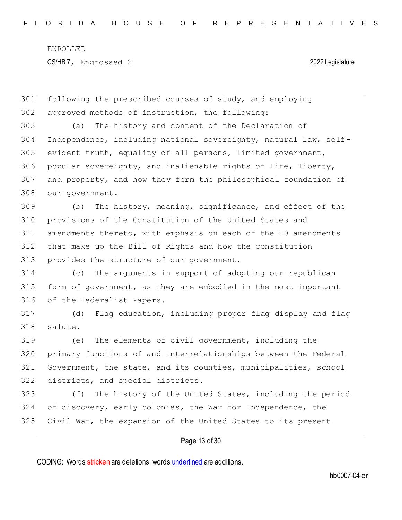following the prescribed courses of study, and employing approved methods of instruction, the following: (a) The history and content of the Declaration of Independence, including national sovereignty, natural law, self- evident truth, equality of all persons, limited government, popular sovereignty, and inalienable rights of life, liberty, and property, and how they form the philosophical foundation of

our government.

 (b) The history, meaning, significance, and effect of the provisions of the Constitution of the United States and amendments thereto, with emphasis on each of the 10 amendments that make up the Bill of Rights and how the constitution 313 provides the structure of our government.

 (c) The arguments in support of adopting our republican form of government, as they are embodied in the most important of the Federalist Papers.

 (d) Flag education, including proper flag display and flag salute.

 (e) The elements of civil government, including the primary functions of and interrelationships between the Federal Government, the state, and its counties, municipalities, school districts, and special districts.

323 (f) The history of the United States, including the period of discovery, early colonies, the War for Independence, the Civil War, the expansion of the United States to its present

# Page 13 of 30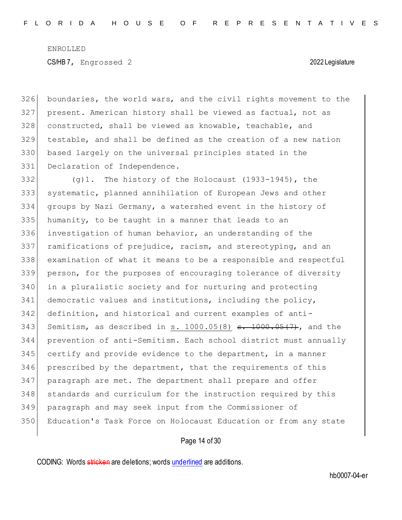boundaries, the world wars, and the civil rights movement to the present. American history shall be viewed as factual, not as 328 constructed, shall be viewed as knowable, teachable, and testable, and shall be defined as the creation of a new nation based largely on the universal principles stated in the 331 Declaration of Independence.

332 (g)1. The history of the Holocaust (1933-1945), the systematic, planned annihilation of European Jews and other groups by Nazi Germany, a watershed event in the history of humanity, to be taught in a manner that leads to an investigation of human behavior, an understanding of the ramifications of prejudice, racism, and stereotyping, and an examination of what it means to be a responsible and respectful person, for the purposes of encouraging tolerance of diversity in a pluralistic society and for nurturing and protecting 341 democratic values and institutions, including the policy, definition, and historical and current examples of anti-343 Semitism, as described in  $s. 1000.05(8)$   $s. 1000.05(7)$ , and the prevention of anti-Semitism. Each school district must annually certify and provide evidence to the department, in a manner prescribed by the department, that the requirements of this paragraph are met. The department shall prepare and offer 348 standards and curriculum for the instruction required by this paragraph and may seek input from the Commissioner of Education's Task Force on Holocaust Education or from any state

# Page 14 of 30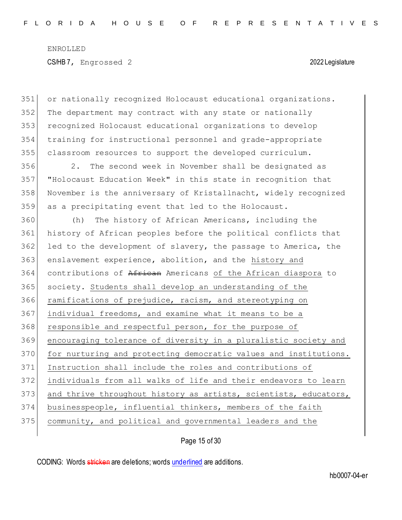or nationally recognized Holocaust educational organizations. The department may contract with any state or nationally recognized Holocaust educational organizations to develop training for instructional personnel and grade-appropriate classroom resources to support the developed curriculum. 2. The second week in November shall be designated as "Holocaust Education Week" in this state in recognition that November is the anniversary of Kristallnacht, widely recognized as a precipitating event that led to the Holocaust. (h) The history of African Americans, including the history of African peoples before the political conflicts that led to the development of slavery, the passage to America, the 363 enslavement experience, abolition, and the history and contributions of African Americans of the African diaspora to 365 society. Students shall develop an understanding of the ramifications of prejudice, racism, and stereotyping on 367 individual freedoms, and examine what it means to be a 368 responsible and respectful person, for the purpose of encouraging tolerance of diversity in a pluralistic society and 370 for nurturing and protecting democratic values and institutions. Instruction shall include the roles and contributions of individuals from all walks of life and their endeavors to learn 373 and thrive throughout history as artists, scientists, educators, businesspeople, influential thinkers, members of the faith community, and political and governmental leaders and the

Page 15 of 30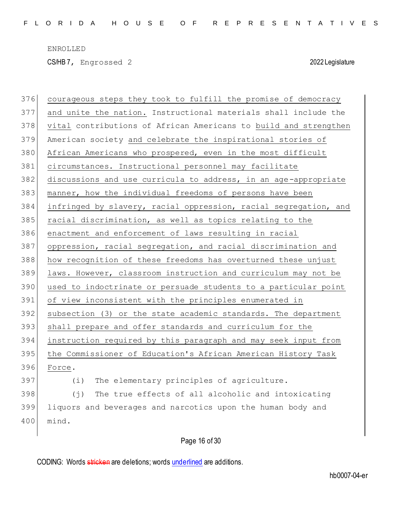CS/HB 7, Engrossed 2 2022 Legislature

 courageous steps they took to fulfill the promise of democracy and unite the nation. Instructional materials shall include the vital contributions of African Americans to build and strengthen American society and celebrate the inspirational stories of 380 African Americans who prospered, even in the most difficult circumstances. Instructional personnel may facilitate 382 discussions and use curricula to address, in an age-appropriate manner, how the individual freedoms of persons have been infringed by slavery, racial oppression, racial segregation, and racial discrimination, as well as topics relating to the enactment and enforcement of laws resulting in racial 387 oppression, racial segregation, and racial discrimination and how recognition of these freedoms has overturned these unjust laws. However, classroom instruction and curriculum may not be used to indoctrinate or persuade students to a particular point of view inconsistent with the principles enumerated in subsection (3) or the state academic standards. The department shall prepare and offer standards and curriculum for the instruction required by this paragraph and may seek input from 395 the Commissioner of Education's African American History Task Force. (i) The elementary principles of agriculture. (j) The true effects of all alcoholic and intoxicating liquors and beverages and narcotics upon the human body and mind.

Page 16 of 30

CODING: Words stricken are deletions; words underlined are additions.

hb0007-04-er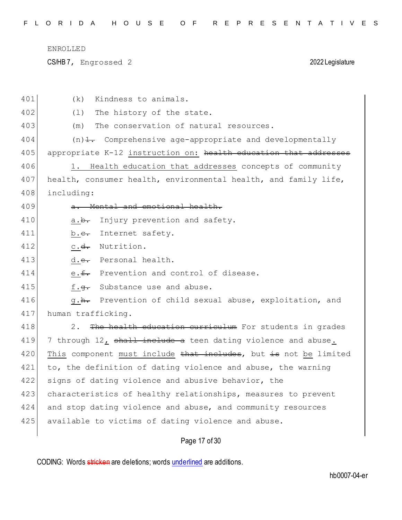CS/HB 7, Engrossed 2 2022 Legislature

| 401 | Kindness to animals.<br>(k)                                           |
|-----|-----------------------------------------------------------------------|
| 402 | The history of the state.<br>(1)                                      |
| 403 | The conservation of natural resources.<br>(m)                         |
| 404 | $(n)$ $\frac{1}{n}$ Comprehensive age-appropriate and developmentally |
| 405 | appropriate K-12 instruction on: health education that addresses      |
| 406 | Health education that addresses concepts of community<br>1.           |
| 407 | health, consumer health, environmental health, and family life,       |
| 408 | including:                                                            |
| 409 | Mental and emotional health.                                          |
| 410 | Injury prevention and safety.<br>a. <del>b.</del>                     |
| 411 | Internet safety.<br>b. <del>c.</del>                                  |
| 412 | c.d. Nutrition.                                                       |
| 413 | d.e. Personal health.                                                 |
| 414 | e.f. Prevention and control of disease.                               |
| 415 | Substance use and abuse.<br>f. <del>q.</del>                          |
| 416 | g. <del>h.</del> Prevention of child sexual abuse, exploitation, and  |
| 417 | human trafficking.                                                    |
| 418 | The health education curriculum For students in grades<br>2.          |
| 419 | 7 through 12, shall include a teen dating violence and abuse.         |
| 420 | This component must include that includes, but is not be limited      |
| 421 | to, the definition of dating violence and abuse, the warning          |
| 422 | signs of dating violence and abusive behavior, the                    |
| 423 | characteristics of healthy relationships, measures to prevent         |
| 424 | and stop dating violence and abuse, and community resources           |
| 425 | available to victims of dating violence and abuse.                    |
|     |                                                                       |

# Page 17 of 30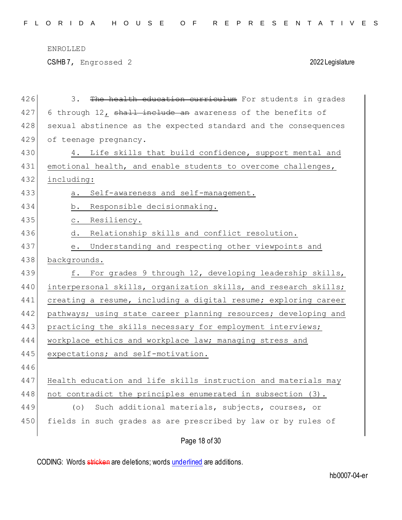CS/HB 7, Engrossed 2 2022 Legislature

| 426 | The health education curriculum For students in grades<br>3.    |
|-----|-----------------------------------------------------------------|
| 427 | 6 through 12, shall include an awareness of the benefits of     |
| 428 | sexual abstinence as the expected standard and the consequences |
| 429 | of teenage pregnancy.                                           |
| 430 | 4. Life skills that build confidence, support mental and        |
| 431 | emotional health, and enable students to overcome challenges,   |
| 432 | including:                                                      |
| 433 | Self-awareness and self-management.<br>a.                       |
| 434 | b. Responsible decisionmaking.                                  |
| 435 | c. Resiliency.                                                  |
| 436 | Relationship skills and conflict resolution.<br>d.              |
| 437 | Understanding and respecting other viewpoints and<br>е.         |
| 438 | backgrounds.                                                    |
| 439 | For grades 9 through 12, developing leadership skills,<br>f.    |
| 440 | interpersonal skills, organization skills, and research skills; |
| 441 | creating a resume, including a digital resume; exploring career |
| 442 | pathways; using state career planning resources; developing and |
| 443 | practicing the skills necessary for employment interviews;      |
| 444 | workplace ethics and workplace law; managing stress and         |
| 445 | expectations; and self-motivation.                              |
| 446 |                                                                 |
| 447 | Health education and life skills instruction and materials may  |
| 448 | not contradict the principles enumerated in subsection (3).     |
| 449 | Such additional materials, subjects, courses, or<br>(0)         |
| 450 | fields in such grades as are prescribed by law or by rules of   |
|     |                                                                 |

Page 18 of 30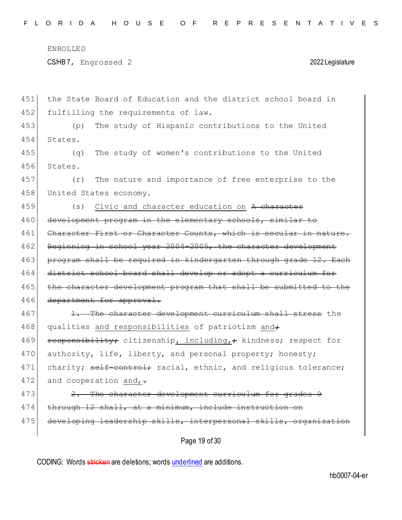CS/HB 7, Engrossed 2 2022 Legislature

| 451 | the State Board of Education and the district school board in    |
|-----|------------------------------------------------------------------|
| 452 | fulfilling the requirements of law.                              |
| 453 | The study of Hispanic contributions to the United<br>(p)         |
| 454 | States.                                                          |
| 455 | The study of women's contributions to the United<br>(q)          |
| 456 | States.                                                          |
| 457 | The nature and importance of free enterprise to the<br>(r)       |
| 458 | United States economy.                                           |
| 459 | Civic and character education on A character<br>(s)              |
| 460 | development program in the elementary schools, similar to        |
| 461 | Character First or Character Counts, which is secular in nature. |
| 462 | Beginning in school year 2004-2005, the character development    |
| 463 | program shall be required in kindergarten through grade 12. Each |
| 464 | district school board shall develop or adopt a curriculum for    |
| 465 | the character development program that shall be submitted to the |
| 466 | department for approval.                                         |
| 467 | 1. The character development curriculum shall stress the         |
| 468 | qualities and responsibilities of patriotism and+                |
| 469 | responsibility; citizenship, including,; kindness; respect for   |
| 470 | authority, life, liberty, and personal property; honesty;        |
| 471 | charity; self-control; racial, ethnic, and religious tolerance;  |
| 472 | and cooperation and, $\overline{\cdot}$                          |
| 473 | 2. The character development curriculum for grades 9             |
| 474 | through 12 shall, at a minimum, include instruction on           |
| 475 | developing leadership skills, interpersonal skills, organization |
|     |                                                                  |

Page 19 of 30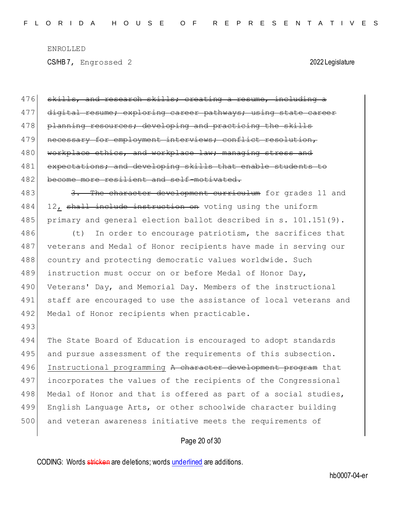CS/HB 7, Engrossed 2 2022 Legislature

| 476 | skills, and research skills; creating a resume, including a      |
|-----|------------------------------------------------------------------|
| 477 | digital resume; exploring career pathways; using state career    |
| 478 | planning resources; developing and practicing the skills         |
| 479 | necessary for employment interviews; conflict resolution,        |
| 480 | workplace ethics, and workplace law; managing stress and         |
| 481 | expectations; and developing skills that enable students to      |
| 482 | become more resilient and self-motivated.                        |
| 483 | 3. The character development curriculum for grades 11 and        |
| 484 | 12, shall include instruction on voting using the uniform        |
| 485 | primary and general election ballot described in s. 101.151(9).  |
| 486 | In order to encourage patriotism, the sacrifices that<br>(t)     |
| 487 | veterans and Medal of Honor recipients have made in serving our  |
| 488 | country and protecting democratic values worldwide. Such         |
| 489 | instruction must occur on or before Medal of Honor Day,          |
| 490 | Veterans' Day, and Memorial Day. Members of the instructional    |
| 491 | staff are encouraged to use the assistance of local veterans and |
| 492 | Medal of Honor recipients when practicable.                      |
| 493 |                                                                  |
| 494 | The State Board of Education is encouraged to adopt standards    |
| 495 | and pursue assessment of the requirements of this subsection.    |
| 496 | Instructional programming A character development program that   |
| 497 | incorporates the values of the recipients of the Congressional   |
| 498 | Medal of Honor and that is offered as part of a social studies,  |
| 499 | English Language Arts, or other schoolwide character building    |
| 500 | and veteran awareness initiative meets the requirements of       |
|     | Page 20 of 30                                                    |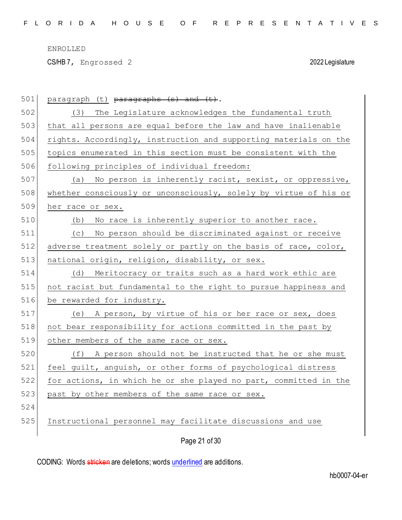CS/HB 7, Engrossed 2 2022 Legislature

| 501 | paragraph (t) paragraphs (s) and (t).                            |
|-----|------------------------------------------------------------------|
| 502 | (3) The Legislature acknowledges the fundamental truth           |
| 503 | that all persons are equal before the law and have inalienable   |
| 504 | rights. Accordingly, instruction and supporting materials on the |
| 505 | topics enumerated in this section must be consistent with the    |
| 506 | following principles of individual freedom:                      |
| 507 | (a) No person is inherently racist, sexist, or oppressive,       |
| 508 | whether consciously or unconsciously, solely by virtue of his or |
| 509 | her race or sex.                                                 |
| 510 | (b) No race is inherently superior to another race.              |
| 511 | No person should be discriminated against or receive<br>(C)      |
| 512 | adverse treatment solely or partly on the basis of race, color,  |
| 513 | national origin, religion, disability, or sex.                   |
| 514 | (d) Meritocracy or traits such as a hard work ethic are          |
| 515 | not racist but fundamental to the right to pursue happiness and  |
| 516 | be rewarded for industry.                                        |
| 517 | (e) A person, by virtue of his or her race or sex, does          |
| 518 | not bear responsibility for actions committed in the past by     |
| 519 | other members of the same race or sex.                           |
| 520 | (f) A person should not be instructed that he or she must        |
| 521 | feel guilt, anguish, or other forms of psychological distress    |
| 522 | for actions, in which he or she played no part, committed in the |
| 523 | past by other members of the same race or sex.                   |
| 524 |                                                                  |
| 525 | Instructional personnel may facilitate discussions and use       |
|     | Page 21 of 30                                                    |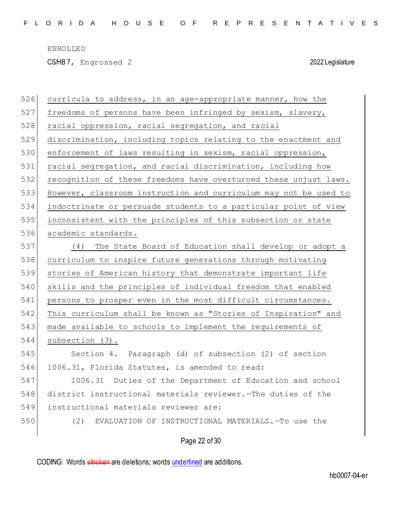CS/HB 7, Engrossed 2 2022 Legislature

| 526 | curricula to address, in an age-appropriate manner, how the      |
|-----|------------------------------------------------------------------|
| 527 | freedoms of persons have been infringed by sexism, slavery,      |
| 528 | racial oppression, racial segregation, and racial                |
| 529 | discrimination, including topics relating to the enactment and   |
| 530 | enforcement of laws resulting in sexism, racial oppression,      |
| 531 | racial segregation, and racial discrimination, including how     |
| 532 | recognition of these freedoms have overturned these unjust laws. |
| 533 | However, classroom instruction and curriculum may not be used to |
| 534 | indoctrinate or persuade students to a particular point of view  |
| 535 | inconsistent with the principles of this subsection or state     |
| 536 | academic standards.                                              |
| 537 | (4) The State Board of Education shall develop or adopt a        |
| 538 | curriculum to inspire future generations through motivating      |
| 539 | stories of American history that demonstrate important life      |
| 540 | skills and the principles of individual freedom that enabled     |
| 541 | persons to prosper even in the most difficult circumstances.     |
| 542 | This curriculum shall be known as "Stories of Inspiration" and   |
| 543 | made available to schools to implement the requirements of       |
| 544 | subsection (3).                                                  |
| 545 | Section 4. Paragraph (d) of subsection (2) of section            |
| 546 | 1006.31, Florida Statutes, is amended to read:                   |
| 547 | 1006.31 Duties of the Department of Education and school         |
| 548 | district instructional materials reviewer. The duties of the     |
| 549 | instructional materials reviewer are:                            |
| 550 | (2)<br>EVALUATION OF INSTRUCTIONAL MATERIALS. - To use the       |
|     |                                                                  |

Page 22 of 30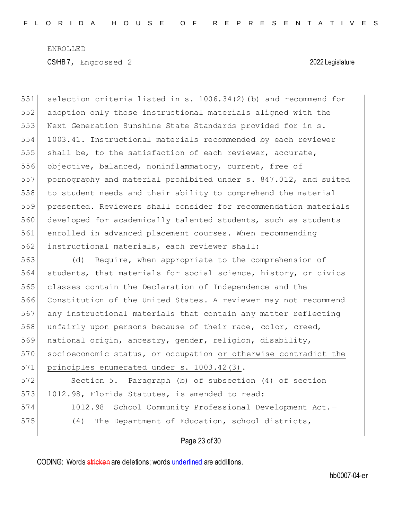selection criteria listed in s. 1006.34(2)(b) and recommend for adoption only those instructional materials aligned with the Next Generation Sunshine State Standards provided for in s. 1003.41. Instructional materials recommended by each reviewer shall be, to the satisfaction of each reviewer, accurate, objective, balanced, noninflammatory, current, free of pornography and material prohibited under s. 847.012, and suited to student needs and their ability to comprehend the material presented. Reviewers shall consider for recommendation materials developed for academically talented students, such as students enrolled in advanced placement courses. When recommending instructional materials, each reviewer shall:

563 (d) Require, when appropriate to the comprehension of 564 students, that materials for social science, history, or civics 565 classes contain the Declaration of Independence and the 566 Constitution of the United States. A reviewer may not recommend 567 any instructional materials that contain any matter reflecting 568 unfairly upon persons because of their race, color, creed, 569 national origin, ancestry, gender, religion, disability, 570 socioeconomic status, or occupation or otherwise contradict the 571 principles enumerated under s. 1003.42(3).

572 Section 5. Paragraph (b) of subsection (4) of section 573 1012.98, Florida Statutes, is amended to read: 574 1012.98 School Community Professional Development Act.-

575 (4) The Department of Education, school districts,

# Page 23 of 30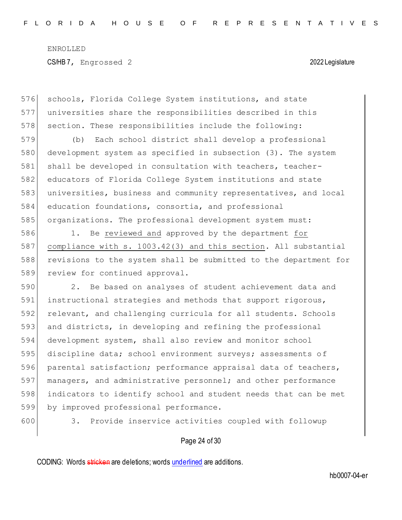576 schools, Florida College System institutions, and state 577 universities share the responsibilities described in this 578 section. These responsibilities include the following:

 (b) Each school district shall develop a professional development system as specified in subsection (3). The system 581 shall be developed in consultation with teachers, teacher- educators of Florida College System institutions and state universities, business and community representatives, and local education foundations, consortia, and professional organizations. The professional development system must:

 1. Be reviewed and approved by the department for compliance with s. 1003.42(3) and this section. All substantial revisions to the system shall be submitted to the department for 589 review for continued approval.

590 2. Be based on analyses of student achievement data and 591 instructional strategies and methods that support rigorous, 592 relevant, and challenging curricula for all students. Schools 593 and districts, in developing and refining the professional 594 development system, shall also review and monitor school 595 discipline data; school environment surveys; assessments of 596 parental satisfaction; performance appraisal data of teachers, 597 managers, and administrative personnel; and other performance 598 indicators to identify school and student needs that can be met 599 by improved professional performance.

600 3. Provide inservice activities coupled with followup

### Page 24 of 30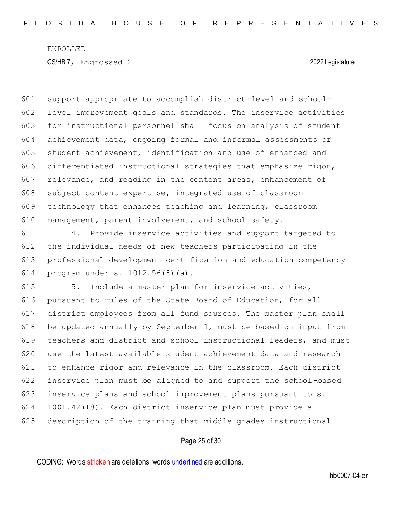601 support appropriate to accomplish district-level and school-602 level improvement goals and standards. The inservice activities 603 for instructional personnel shall focus on analysis of student 604 achievement data, ongoing formal and informal assessments of 605 student achievement, identification and use of enhanced and 606 differentiated instructional strategies that emphasize rigor,  $607$  relevance, and reading in the content areas, enhancement of 608 subject content expertise, integrated use of classroom 609 technology that enhances teaching and learning, classroom 610 management, parent involvement, and school safety.

 4. Provide inservice activities and support targeted to the individual needs of new teachers participating in the professional development certification and education competency program under s. 1012.56(8)(a).

615 5. Include a master plan for inservice activities, 616 pursuant to rules of the State Board of Education, for all 617 district employees from all fund sources. The master plan shall 618 be updated annually by September 1, must be based on input from 619 teachers and district and school instructional leaders, and must 620 use the latest available student achievement data and research 621 to enhance rigor and relevance in the classroom. Each district 622 inservice plan must be aligned to and support the school-based 623 inservice plans and school improvement plans pursuant to s. 624 1001.42(18). Each district inservice plan must provide a 625 description of the training that middle grades instructional

# Page 25 of 30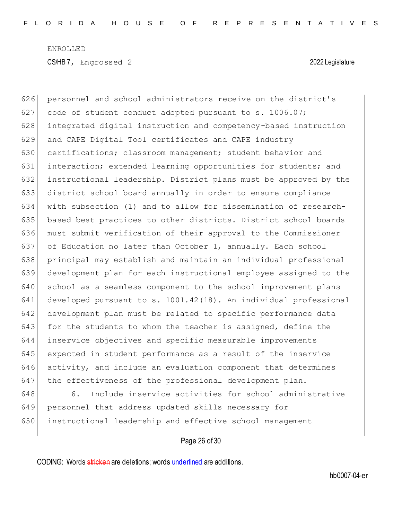626 personnel and school administrators receive on the district's 627 code of student conduct adopted pursuant to s. 1006.07; 628 integrated digital instruction and competency-based instruction 629 and CAPE Digital Tool certificates and CAPE industry 630 certifications; classroom management; student behavior and 631 interaction; extended learning opportunities for students; and 632 instructional leadership. District plans must be approved by the 633 district school board annually in order to ensure compliance 634 with subsection (1) and to allow for dissemination of research-635 based best practices to other districts. District school boards 636 must submit verification of their approval to the Commissioner 637 of Education no later than October 1, annually. Each school 638 principal may establish and maintain an individual professional 639 development plan for each instructional employee assigned to the 640 school as a seamless component to the school improvement plans 641 developed pursuant to s. 1001.42(18). An individual professional 642 development plan must be related to specific performance data 643 for the students to whom the teacher is assigned, define the 644 inservice objectives and specific measurable improvements 645 expected in student performance as a result of the inservice 646 activity, and include an evaluation component that determines 647 the effectiveness of the professional development plan.

648 6. Include inservice activities for school administrative 649 personnel that address updated skills necessary for 650 instructional leadership and effective school management

# Page 26 of 30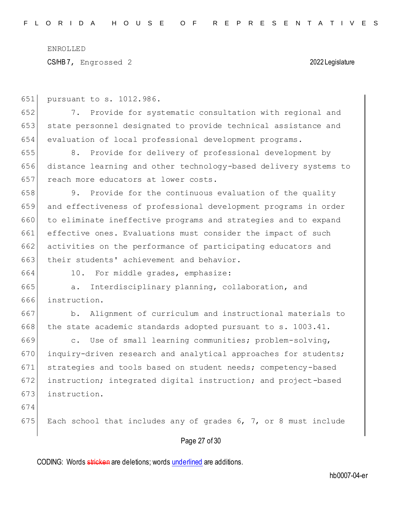CS/HB 7, Engrossed 2 2022 Legislature

651 pursuant to s. 1012.986.

652 7. Provide for systematic consultation with regional and 653 state personnel designated to provide technical assistance and 654 evaluation of local professional development programs.

655 8. Provide for delivery of professional development by 656 distance learning and other technology-based delivery systems to 657 reach more educators at lower costs.

658 9. Provide for the continuous evaluation of the quality 659 and effectiveness of professional development programs in order 660 to eliminate ineffective programs and strategies and to expand 661 effective ones. Evaluations must consider the impact of such 662 activities on the performance of participating educators and 663 their students' achievement and behavior.

664 10. For middle grades, emphasize:

665 a. Interdisciplinary planning, collaboration, and 666 instruction.

667 b. Alignment of curriculum and instructional materials to  $668$  the state academic standards adopted pursuant to s. 1003.41.

669 c. Use of small learning communities; problem-solving, 670 inquiry-driven research and analytical approaches for students; 671 strategies and tools based on student needs; competency-based 672 instruction; integrated digital instruction; and project-based 673 instruction.

674

675 Each school that includes any of grades 6, 7, or 8 must include

# Page 27 of 30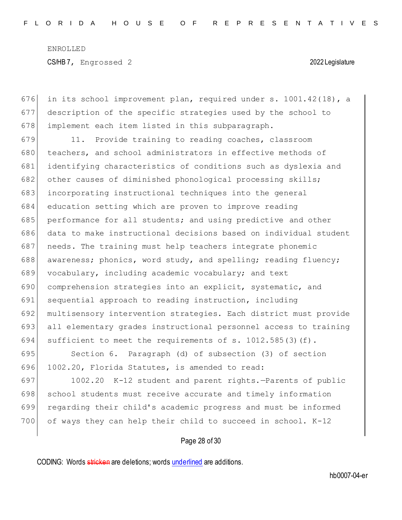676 in its school improvement plan, required under s.  $1001.42(18)$ , a 677 description of the specific strategies used by the school to 678 implement each item listed in this subparagraph.

679 11. Provide training to reading coaches, classroom 680 teachers, and school administrators in effective methods of 681 identifying characteristics of conditions such as dyslexia and 682 other causes of diminished phonological processing skills; 683 incorporating instructional techniques into the general 684 education setting which are proven to improve reading 685 performance for all students; and using predictive and other 686 data to make instructional decisions based on individual student 687 needs. The training must help teachers integrate phonemic 688 awareness; phonics, word study, and spelling; reading fluency; 689 vocabulary, including academic vocabulary; and text 690 comprehension strategies into an explicit, systematic, and 691 sequential approach to reading instruction, including 692 multisensory intervention strategies. Each district must provide 693 all elementary grades instructional personnel access to training 694 sufficient to meet the requirements of s. 1012.585(3)(f).

695 Section 6. Paragraph (d) of subsection (3) of section 696 1002.20, Florida Statutes, is amended to read:

697 1002.20 K-12 student and parent rights.—Parents of public 698 school students must receive accurate and timely information 699 regarding their child's academic progress and must be informed 700 of ways they can help their child to succeed in school. K-12

Page 28 of 30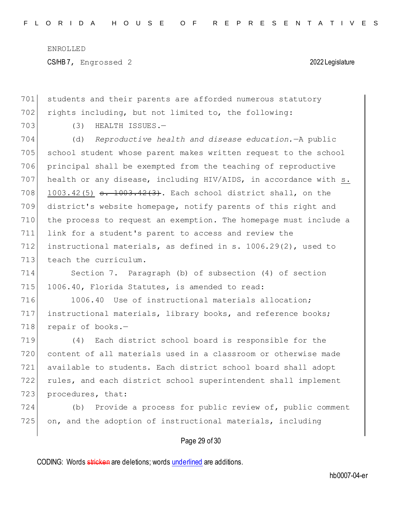701 students and their parents are afforded numerous statutory

ENROLLED CS/HB 7, Engrossed 2 2022 Legislature

702 rights including, but not limited to, the following: 703 (3) HEALTH ISSUES.- (d) *Reproductive health and disease education.*—A public school student whose parent makes written request to the school principal shall be exempted from the teaching of reproductive health or any disease, including HIV/AIDS, in accordance with s. 708 1003.42(5)  $\frac{1003.42(3)}{1003.42(3)}$ . Each school district shall, on the district's website homepage, notify parents of this right and the process to request an exemption. The homepage must include a link for a student's parent to access and review the instructional materials, as defined in s. 1006.29(2), used to 713 teach the curriculum. Section 7. Paragraph (b) of subsection (4) of section 715 1006.40, Florida Statutes, is amended to read: 716 1006.40 Use of instructional materials allocation; instructional materials, library books, and reference books; 718 repair of books.- (4) Each district school board is responsible for the content of all materials used in a classroom or otherwise made available to students. Each district school board shall adopt rules, and each district school superintendent shall implement 723 procedures, that: (b) Provide a process for public review of, public comment

# Page 29 of 30

725 on, and the adoption of instructional materials, including

CODING: Words *stricken* are deletions; words *underlined* are additions.

hb0007-04-er